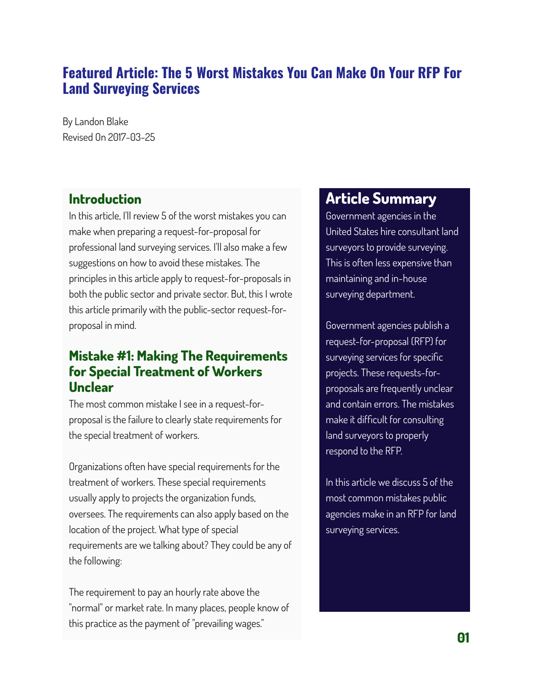## **Featured Article: The 5 Worst Mistakes You Can Make On Your RFP For Land Surveying Services**

By Landon Blake Revised On 2017-03-25

## **Introduction**

In this article, I'll review 5 of the worst mistakes you can make when preparing a request-for-proposal for professional land surveying services. I'll also make a few suggestions on how to avoid these mistakes. The principles in this article apply to request-for-proposals in both the public sector and private sector. But, this I wrote this article primarily with the public-sector request-forproposal in mind.

#### **Mistake #1: Making The Requirements for Special Treatment of Workers Unclear**

The most common mistake I see in a request-forproposal is the failure to clearly state requirements for the special treatment of workers.

Organizations often have special requirements for the treatment of workers. These special requirements usually apply to projects the organization funds, oversees. The requirements can also apply based on the location of the project. What type of special requirements are we talking about? They could be any of the following:

The requirement to pay an hourly rate above the "normal" or market rate. In many places, people know of this practice as the payment of "prevailing wages."

# **Article Summary**

Government agencies in the United States hire consultant land surveyors to provide surveying. This is often less expensive than maintaining and in-house surveying department.

Government agencies publish a request-for-proposal (RFP) for surveying services for specific projects. These requests-forproposals are frequently unclear and contain errors. The mistakes make it difficult for consulting land surveyors to properly respond to the RFP.

In this article we discuss 5 of the most common mistakes public agencies make in an RFP for land surveying services.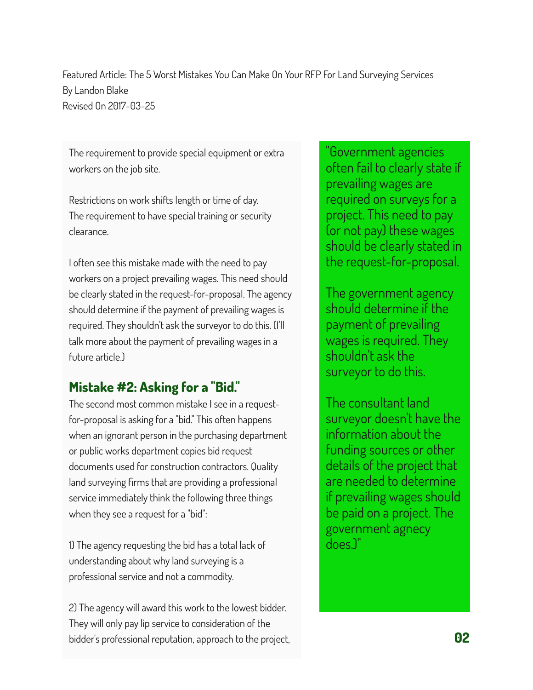The requirement to provide special equipment or extra workers on the job site.

Restrictions on work shifts length or time of day. The requirement to have special training or security clearance.

I often see this mistake made with the need to pay workers on a project prevailing wages. This need should be clearly stated in the request-for-proposal. The agency should determine if the payment of prevailing wages is required. They shouldn't ask the surveyor to do this. (I'll talk more about the payment of prevailing wages in a future article.)

## **Mistake #2: Asking for a "Bid."**

The second most common mistake I see in a requestfor-proposal is asking for a "bid." This often happens when an ignorant person in the purchasing department or public works department copies bid request documents used for construction contractors. Quality land surveying firms that are providing a professional service immediately think the following three things when they see a request for a "bid":

1) The agency requesting the bid has a total lack of understanding about why land surveying is a professional service and not a commodity.

2) The agency will award this work to the lowest bidder. They will only pay lip service to consideration of the bidder's professional reputation, approach to the project, **02**

"Government agencies often fail to clearly state if prevailing wages are required on surveys for a project. This need to pay (or not pay) these wages should be clearly stated in the request-for-proposal.

The government agency should determine if the payment of prevailing wages is required. They shouldn't ask the surveyor to do this.

The consultant land surveyor doesn't have the information about the funding sources or other details of the project that are needed to determine if prevailing wages should be paid on a project. The government agnecy does.)"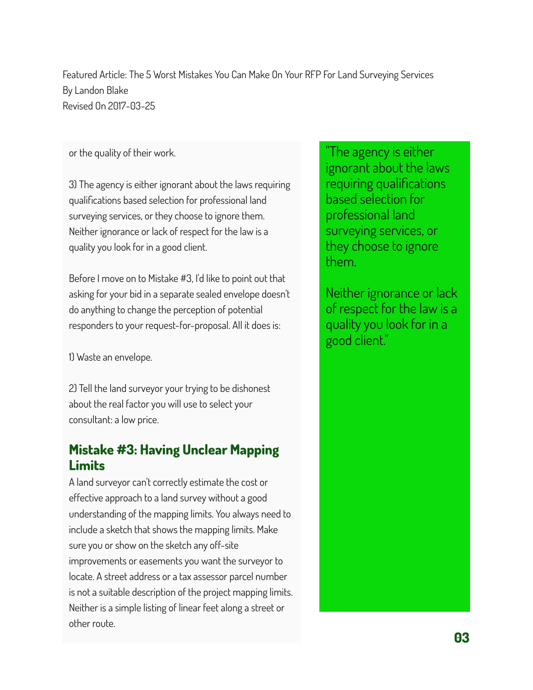or the quality of their work.

3) The agency is either ignorant about the laws requiring qualifications based selection for professional land surveying services, or they choose to ignore them. Neither ignorance or lack of respect for the law is a quality you look for in a good client.

Before I move on to Mistake #3, I'd like to point out that asking for your bid in a separate sealed envelope doesn't do anything to change the perception of potential responders to your request-for-proposal. All it does is:

1) Waste an envelope.

2) Tell the land surveyor your trying to be dishonest about the real factor you will use to select your consultant: a low price.

# **Mistake #3: Having Unclear Mapping Limits**

A land surveyor can't correctly estimate the cost or effective approach to a land survey without a good understanding of the mapping limits. You always need to include a sketch that shows the mapping limits. Make sure you or show on the sketch any off-site improvements or easements you want the surveyor to locate. A street address or a tax assessor parcel number is not a suitable description of the project mapping limits. Neither is a simple listing of linear feet along a street or other route.

"The agency is either ignorant about the laws requiring qualifications based selection for professional land surveying services, or they choose to ignore them.

Neither ignorance or lack of respect for the law is a quality you look for in a good client."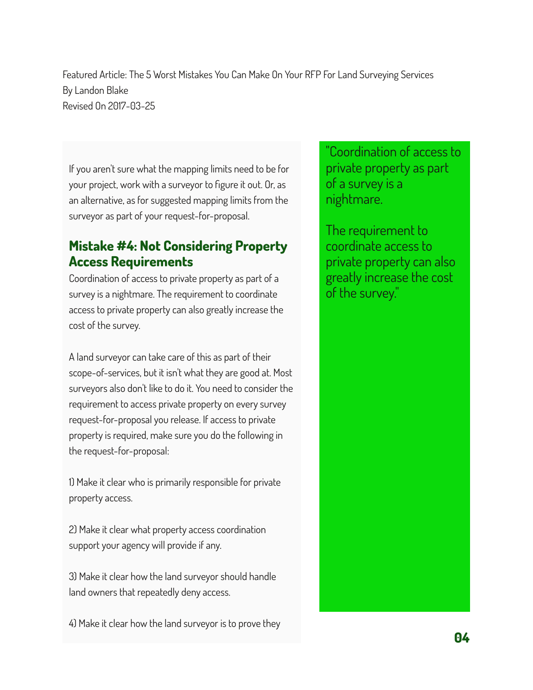If you aren't sure what the mapping limits need to be for your project, work with a surveyor to figure it out. Or, as an alternative, as for suggested mapping limits from the surveyor as part of your request-for-proposal.

## **Mistake #4: Not Considering Property Access Requirements**

Coordination of access to private property as part of a survey is a nightmare. The requirement to coordinate access to private property can also greatly increase the cost of the survey.

A land surveyor can take care of this as part of their scope-of-services, but it isn't what they are good at. Most surveyors also don't like to do it. You need to consider the requirement to access private property on every survey request-for-proposal you release. If access to private property is required, make sure you do the following in the request-for-proposal:

1) Make it clear who is primarily responsible for private property access.

2) Make it clear what property access coordination support your agency will provide if any.

3) Make it clear how the land surveyor should handle land owners that repeatedly deny access.

4) Make it clear how the land surveyor is to prove they

"Coordination of access to private property as part of a survey is a nightmare.

The requirement to coordinate access to private property can also greatly increase the cost of the survey."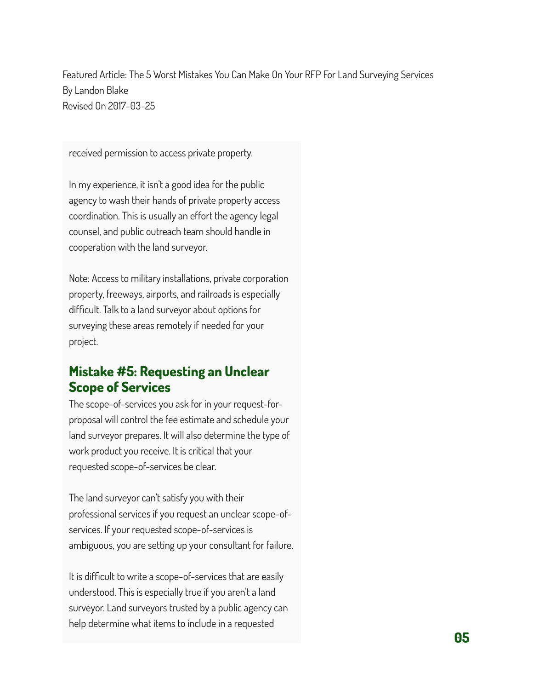received permission to access private property.

In my experience, it isn't a good idea for the public agency to wash their hands of private property access coordination. This is usually an effort the agency legal counsel, and public outreach team should handle in cooperation with the land surveyor.

Note: Access to military installations, private corporation property, freeways, airports, and railroads is especially difficult. Talk to a land surveyor about options for surveying these areas remotely if needed for your project.

## **Mistake #5: Requesting an Unclear Scope of Services**

The scope-of-services you ask for in your request-forproposal will control the fee estimate and schedule your land surveyor prepares. It will also determine the type of work product you receive. It is critical that your requested scope-of-services be clear.

The land surveyor can't satisfy you with their professional services if you request an unclear scope-ofservices. If your requested scope-of-services is ambiguous, you are setting up your consultant for failure.

It is difficult to write a scope-of-services that are easily understood. This is especially true if you aren't a land surveyor. Land surveyors trusted by a public agency can help determine what items to include in a requested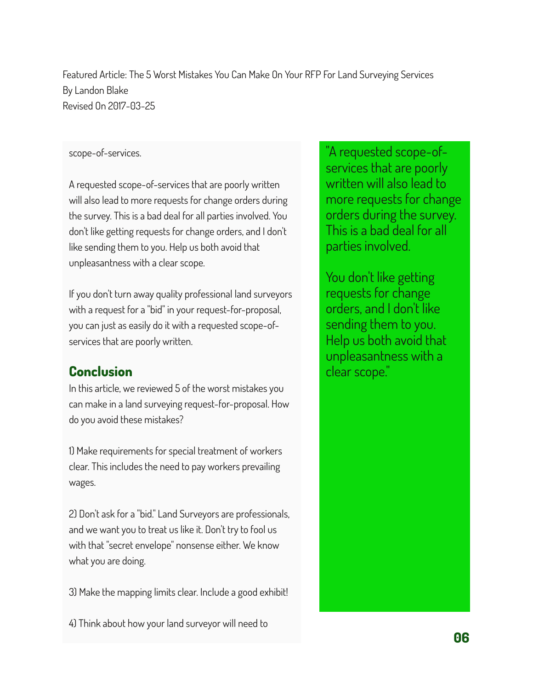#### scope-of-services.

A requested scope-of-services that are poorly written will also lead to more requests for change orders during the survey. This is a bad deal for all parties involved. You don't like getting requests for change orders, and I don't like sending them to you. Help us both avoid that unpleasantness with a clear scope.

If you don't turn away quality professional land surveyors with a request for a "bid" in your request-for-proposal, you can just as easily do it with a requested scope-ofservices that are poorly written.

## **Conclusion**

In this article, we reviewed 5 of the worst mistakes you can make in a land surveying request-for-proposal. How do you avoid these mistakes?

1) Make requirements for special treatment of workers clear. This includes the need to pay workers prevailing wages.

2) Don't ask for a "bid." Land Surveyors are professionals, and we want you to treat us like it. Don't try to fool us with that "secret envelope" nonsense either. We know what you are doing.

3) Make the mapping limits clear. Include a good exhibit!

4) Think about how your land surveyor will need to

"A requested scope-ofservices that are poorly written will also lead to more requests for change orders during the survey. This is a bad deal for all parties involved.

You don't like getting requests for change orders, and I don't like sending them to you. Help us both avoid that unpleasantness with a clear scope."